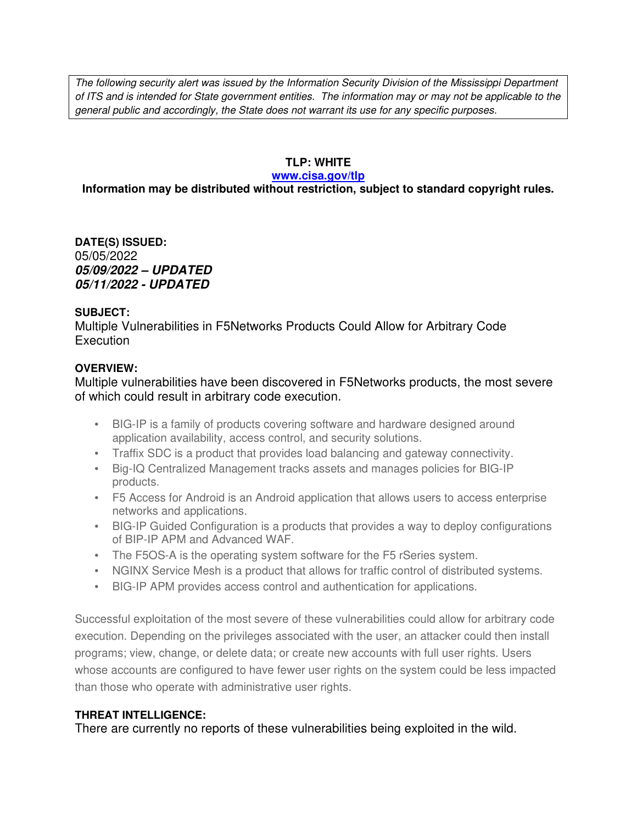The following security alert was issued by the Information Security Division of the Mississippi Department of ITS and is intended for State government entities. The information may or may not be applicable to the general public and accordingly, the State does not warrant its use for any specific purposes.

### **TLP: WHITE**

#### **www.cisa.gov/tlp**

# **Information may be distributed without restriction, subject to standard copyright rules.**

**DATE(S) ISSUED:** 05/05/2022 *05/09/2022 – UPDATED 05/11/2022 - UPDATED*

#### **SUBJECT:**

Multiple Vulnerabilities in F5Networks Products Could Allow for Arbitrary Code **Execution** 

### **OVERVIEW:**

### Multiple vulnerabilities have been discovered in F5Networks products, the most severe of which could result in arbitrary code execution.

- BIG-IP is a family of products covering software and hardware designed around application availability, access control, and security solutions.
- Traffix SDC is a product that provides load balancing and gateway connectivity.
- Big-IQ Centralized Management tracks assets and manages policies for BIG-IP products.
- F5 Access for Android is an Android application that allows users to access enterprise networks and applications.
- BIG-IP Guided Configuration is a products that provides a way to deploy configurations of BIP-IP APM and Advanced WAF.
- The F5OS-A is the operating system software for the F5 rSeries system.
- NGINX Service Mesh is a product that allows for traffic control of distributed systems.
- BIG-IP APM provides access control and authentication for applications.

Successful exploitation of the most severe of these vulnerabilities could allow for arbitrary code execution. Depending on the privileges associated with the user, an attacker could then install programs; view, change, or delete data; or create new accounts with full user rights. Users whose accounts are configured to have fewer user rights on the system could be less impacted than those who operate with administrative user rights.

### **THREAT INTELLIGENCE:**

There are currently no reports of these vulnerabilities being exploited in the wild.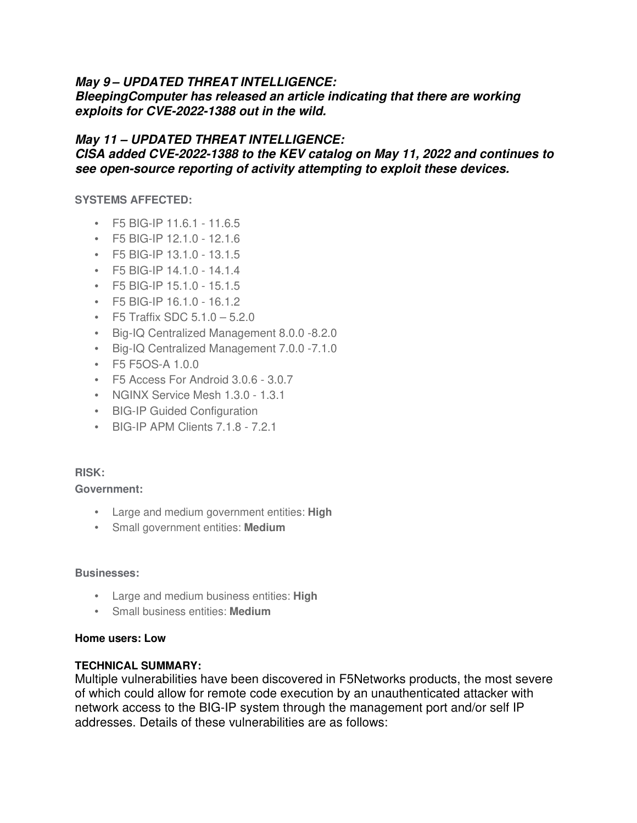## *May 9 – UPDATED THREAT INTELLIGENCE:*

*BleepingComputer has released an article indicating that there are working exploits for CVE-2022-1388 out in the wild.*

## *May 11 – UPDATED THREAT INTELLIGENCE:*

*CISA added CVE-2022-1388 to the KEV catalog on May 11, 2022 and continues to see open-source reporting of activity attempting to exploit these devices.* 

**SYSTEMS AFFECTED:**

- F5 BIG-IP 11.6.1 11.6.5
- F5 BIG-IP 12.1.0 12.1.6
- F5 BIG-IP 13.1.0 13.1.5
- F5 BIG-IP 14.1.0 14.1.4
- F5 BIG-IP 15.1.0 15.1.5
- F5 BIG-IP 16.1.0 16.1.2
- F5 Traffix SDC 5.1.0 5.2.0
- Big-IQ Centralized Management 8.0.0 -8.2.0
- Big-IQ Centralized Management 7.0.0 -7.1.0
- F5 F5OS-A 1.0.0
- F5 Access For Android 3.0.6 3.0.7
- NGINX Service Mesh 1.3.0 1.3.1
- BIG-IP Guided Configuration
- BIG-IP APM Clients 7.1.8 7.2.1

### **RISK:**

**Government:**

- Large and medium government entities: **High**
- Small government entities: **Medium**

#### **Businesses:**

- Large and medium business entities: **High**
- Small business entities: **Medium**

#### **Home users: Low**

#### **TECHNICAL SUMMARY:**

Multiple vulnerabilities have been discovered in F5Networks products, the most severe of which could allow for remote code execution by an unauthenticated attacker with network access to the BIG-IP system through the management port and/or self IP addresses. Details of these vulnerabilities are as follows: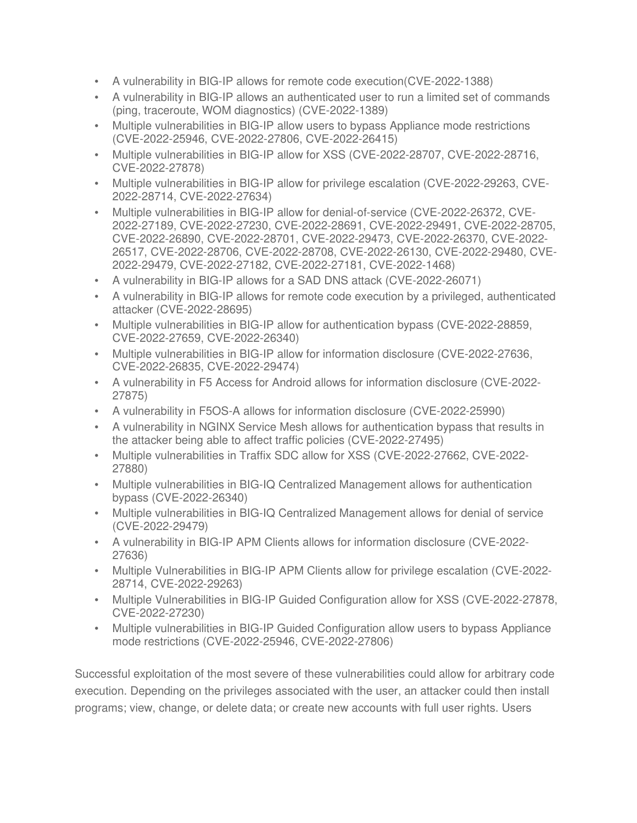- A vulnerability in BIG-IP allows for remote code execution(CVE-2022-1388)
- A vulnerability in BIG-IP allows an authenticated user to run a limited set of commands (ping, traceroute, WOM diagnostics) (CVE-2022-1389)
- Multiple vulnerabilities in BIG-IP allow users to bypass Appliance mode restrictions (CVE-2022-25946, CVE-2022-27806, CVE-2022-26415)
- Multiple vulnerabilities in BIG-IP allow for XSS (CVE-2022-28707, CVE-2022-28716, CVE-2022-27878)
- Multiple vulnerabilities in BIG-IP allow for privilege escalation (CVE-2022-29263, CVE-2022-28714, CVE-2022-27634)
- Multiple vulnerabilities in BIG-IP allow for denial-of-service (CVE-2022-26372, CVE-2022-27189, CVE-2022-27230, CVE-2022-28691, CVE-2022-29491, CVE-2022-28705, CVE-2022-26890, CVE-2022-28701, CVE-2022-29473, CVE-2022-26370, CVE-2022- 26517, CVE-2022-28706, CVE-2022-28708, CVE-2022-26130, CVE-2022-29480, CVE-2022-29479, CVE-2022-27182, CVE-2022-27181, CVE-2022-1468)
- A vulnerability in BIG-IP allows for a SAD DNS attack (CVE-2022-26071)
- A vulnerability in BIG-IP allows for remote code execution by a privileged, authenticated attacker (CVE-2022-28695)
- Multiple vulnerabilities in BIG-IP allow for authentication bypass (CVE-2022-28859, CVE-2022-27659, CVE-2022-26340)
- Multiple vulnerabilities in BIG-IP allow for information disclosure (CVE-2022-27636, CVE-2022-26835, CVE-2022-29474)
- A vulnerability in F5 Access for Android allows for information disclosure (CVE-2022- 27875)
- A vulnerability in F5OS-A allows for information disclosure (CVE-2022-25990)
- A vulnerability in NGINX Service Mesh allows for authentication bypass that results in the attacker being able to affect traffic policies (CVE-2022-27495)
- Multiple vulnerabilities in Traffix SDC allow for XSS (CVE-2022-27662, CVE-2022- 27880)
- Multiple vulnerabilities in BIG-IQ Centralized Management allows for authentication bypass (CVE-2022-26340)
- Multiple vulnerabilities in BIG-IQ Centralized Management allows for denial of service (CVE-2022-29479)
- A vulnerability in BIG-IP APM Clients allows for information disclosure (CVE-2022- 27636)
- Multiple Vulnerabilities in BIG-IP APM Clients allow for privilege escalation (CVE-2022- 28714, CVE-2022-29263)
- Multiple Vulnerabilities in BIG-IP Guided Configuration allow for XSS (CVE-2022-27878, CVE-2022-27230)
- Multiple vulnerabilities in BIG-IP Guided Configuration allow users to bypass Appliance mode restrictions (CVE-2022-25946, CVE-2022-27806)

Successful exploitation of the most severe of these vulnerabilities could allow for arbitrary code execution. Depending on the privileges associated with the user, an attacker could then install programs; view, change, or delete data; or create new accounts with full user rights. Users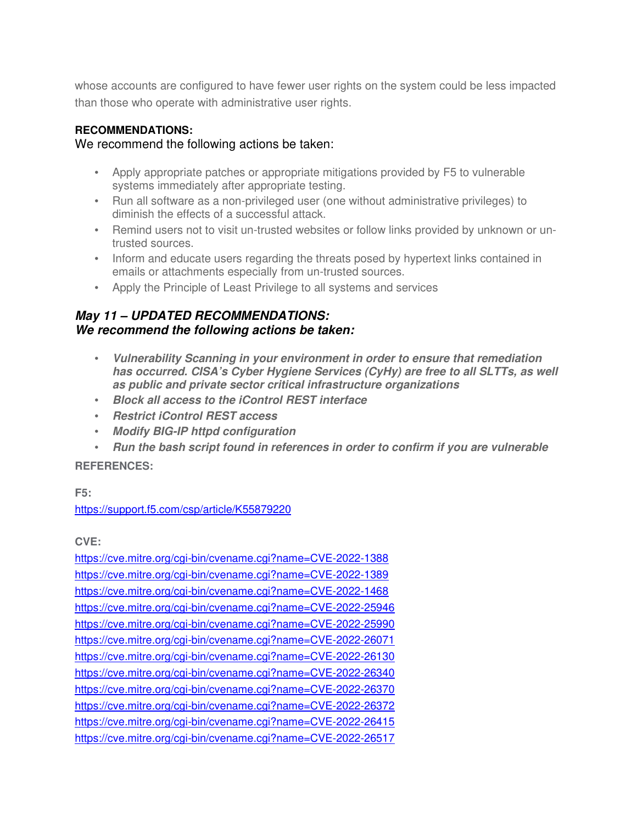whose accounts are configured to have fewer user rights on the system could be less impacted than those who operate with administrative user rights.

### **RECOMMENDATIONS:**

## We recommend the following actions be taken:

- Apply appropriate patches or appropriate mitigations provided by F5 to vulnerable systems immediately after appropriate testing.
- Run all software as a non-privileged user (one without administrative privileges) to diminish the effects of a successful attack.
- Remind users not to visit un-trusted websites or follow links provided by unknown or untrusted sources.
- Inform and educate users regarding the threats posed by hypertext links contained in emails or attachments especially from un-trusted sources.
- Apply the Principle of Least Privilege to all systems and services

# *May 11 – UPDATED RECOMMENDATIONS: We recommend the following actions be taken:*

- *Vulnerability Scanning in your environment in order to ensure that remediation has occurred. CISA's Cyber Hygiene Services (CyHy) are free to all SLTTs, as well as public and private sector critical infrastructure organizations*
- *Block all access to the iControl REST interface*
- *Restrict iControl REST access*
- *Modify BIG-IP httpd configuration*
- *Run the bash script found in references in order to confirm if you are vulnerable*

### **REFERENCES:**

### **F5:**

### https://support.f5.com/csp/article/K55879220

### **CVE:**

https://cve.mitre.org/cgi-bin/cvename.cgi?name=CVE-2022-1388 https://cve.mitre.org/cgi-bin/cvename.cgi?name=CVE-2022-1389 https://cve.mitre.org/cgi-bin/cvename.cgi?name=CVE-2022-1468 https://cve.mitre.org/cgi-bin/cvename.cgi?name=CVE-2022-25946 https://cve.mitre.org/cgi-bin/cvename.cgi?name=CVE-2022-25990 https://cve.mitre.org/cgi-bin/cvename.cgi?name=CVE-2022-26071 https://cve.mitre.org/cgi-bin/cvename.cgi?name=CVE-2022-26130 https://cve.mitre.org/cgi-bin/cvename.cgi?name=CVE-2022-26340 https://cve.mitre.org/cgi-bin/cvename.cgi?name=CVE-2022-26370 https://cve.mitre.org/cgi-bin/cvename.cgi?name=CVE-2022-26372 https://cve.mitre.org/cgi-bin/cvename.cgi?name=CVE-2022-26415 https://cve.mitre.org/cgi-bin/cvename.cgi?name=CVE-2022-26517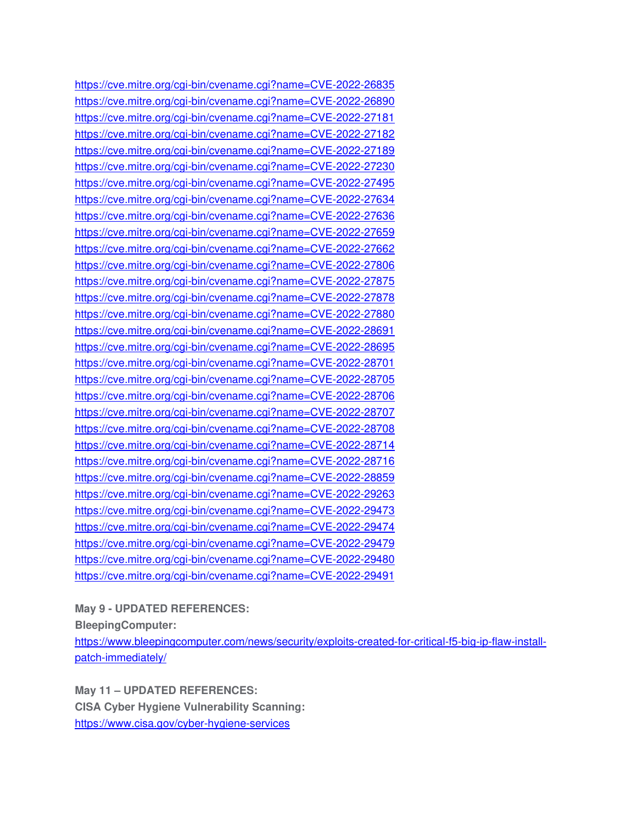https://cve.mitre.org/cgi-bin/cvename.cgi?name=CVE-2022-26835 https://cve.mitre.org/cgi-bin/cvename.cgi?name=CVE-2022-26890 https://cve.mitre.org/cgi-bin/cvename.cgi?name=CVE-2022-27181 https://cve.mitre.org/cgi-bin/cvename.cgi?name=CVE-2022-27182 https://cve.mitre.org/cgi-bin/cvename.cgi?name=CVE-2022-27189 https://cve.mitre.org/cgi-bin/cvename.cgi?name=CVE-2022-27230 https://cve.mitre.org/cgi-bin/cvename.cgi?name=CVE-2022-27495 https://cve.mitre.org/cgi-bin/cvename.cgi?name=CVE-2022-27634 https://cve.mitre.org/cgi-bin/cvename.cgi?name=CVE-2022-27636 https://cve.mitre.org/cgi-bin/cvename.cgi?name=CVE-2022-27659 https://cve.mitre.org/cgi-bin/cvename.cgi?name=CVE-2022-27662 https://cve.mitre.org/cgi-bin/cvename.cgi?name=CVE-2022-27806 https://cve.mitre.org/cgi-bin/cvename.cgi?name=CVE-2022-27875 https://cve.mitre.org/cgi-bin/cvename.cgi?name=CVE-2022-27878 https://cve.mitre.org/cgi-bin/cvename.cgi?name=CVE-2022-27880 https://cve.mitre.org/cgi-bin/cvename.cgi?name=CVE-2022-28691 https://cve.mitre.org/cgi-bin/cvename.cgi?name=CVE-2022-28695 https://cve.mitre.org/cgi-bin/cvename.cgi?name=CVE-2022-28701 https://cve.mitre.org/cgi-bin/cvename.cgi?name=CVE-2022-28705 https://cve.mitre.org/cgi-bin/cvename.cgi?name=CVE-2022-28706 https://cve.mitre.org/cgi-bin/cvename.cgi?name=CVE-2022-28707 https://cve.mitre.org/cgi-bin/cvename.cgi?name=CVE-2022-28708 https://cve.mitre.org/cgi-bin/cvename.cgi?name=CVE-2022-28714 https://cve.mitre.org/cgi-bin/cvename.cgi?name=CVE-2022-28716 https://cve.mitre.org/cgi-bin/cvename.cgi?name=CVE-2022-28859 https://cve.mitre.org/cgi-bin/cvename.cgi?name=CVE-2022-29263 https://cve.mitre.org/cgi-bin/cvename.cgi?name=CVE-2022-29473 https://cve.mitre.org/cgi-bin/cvename.cgi?name=CVE-2022-29474 https://cve.mitre.org/cgi-bin/cvename.cgi?name=CVE-2022-29479 https://cve.mitre.org/cgi-bin/cvename.cgi?name=CVE-2022-29480 https://cve.mitre.org/cgi-bin/cvename.cgi?name=CVE-2022-29491

#### **May 9 - UPDATED REFERENCES:**

**BleepingComputer:** 

https://www.bleepingcomputer.com/news/security/exploits-created-for-critical-f5-big-ip-flaw-installpatch-immediately/

**May 11 – UPDATED REFERENCES: CISA Cyber Hygiene Vulnerability Scanning:**  https://www.cisa.gov/cyber-hygiene-services